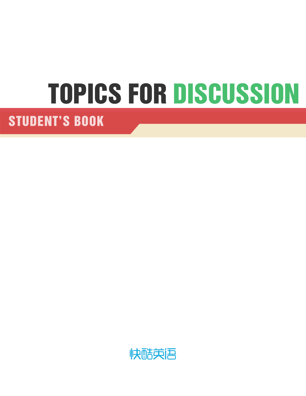# TOPICS FOR DISCUSSION

STUDENT'S BOOK

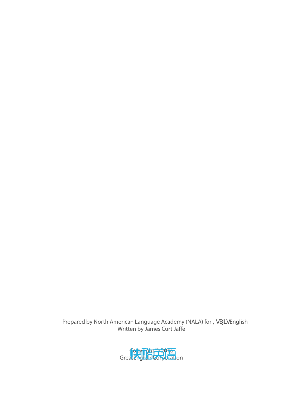Prepared by North American Language Academy (NALA) for =gS[] gEnglish Written by James Curt Jaffe

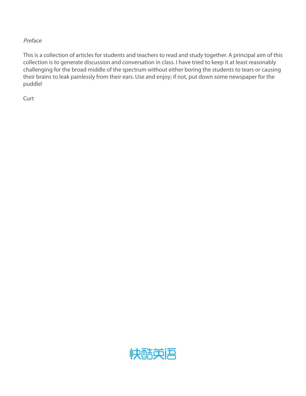#### Preface

This is a collection of articles for students and teachers to read and study together. A principal aim of this collection is to generate discussion and conversation in class. I have tried to keep it at least reasonably challenging for the broad middle of the spectrum without either boring the students to tears or causing their brains to leak painlessly from their ears. Use and enjoy; if not, put down some newspaper for the puddle!

Curt

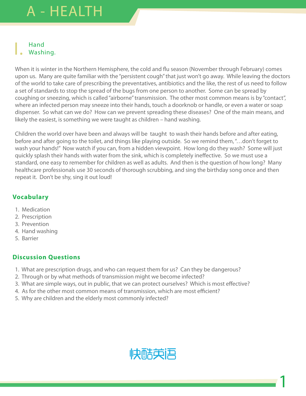# | Hand<br>| Washing.

When it is winter in the Northern Hemisphere, the cold and flu season (November through February) comes upon us. Many are quite familiar with the "persistent cough" that just won't go away. While leaving the doctors of the world to take care of prescribing the preventatives, antibiotics and the like, the rest of us need to follow a set of standards to stop the spread of the bugs from one person to another. Some can be spread by coughing or sneezing, which is called "airborne" transmission. The other most common means is by "contact", where an infected person may sneeze into their hands, touch a doorknob or handle, or even a water or soap dispenser. So what can we do? How can we prevent spreading these diseases? One of the main means, and likely the easiest, is something we were taught as children – hand washing.

Children the world over have been and always will be taught to wash their hands before and after eating, before and after going to the toilet, and things like playing outside. So we remind them, "…don't forget to wash your hands!" Now watch if you can, from a hidden viewpoint. How long do they wash? Some will just quickly splash their hands with water from the sink, which is completely ineffective. So we must use a standard, one easy to remember for children as well as adults. And then is the question of how long? Many healthcare professionals use 30 seconds of thorough scrubbing, and sing the birthday song once and then repeat it. Don't be shy, sing it out loud!

#### **Vocabulary**

- 1. Medication
- 2. Prescription
- 3. Prevention
- 4. Hand washing
- 5. Barrier

#### **Discussion Questions**

- 1. What are prescription drugs, and who can request them for us? Can they be dangerous?
- 2. Through or by what methods of transmission might we become infected?
- 3. What are simple ways, out in public, that we can protect ourselves? Which is most effective?
- 4. As for the other most common means of transmission, which are most efficient?
- 5. Why are children and the elderly most commonly infected?



1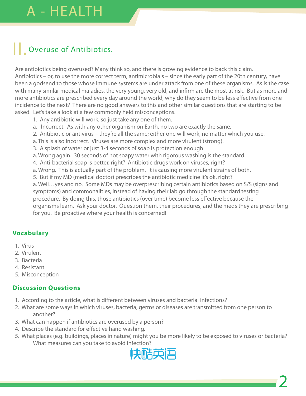### **II.** Overuse of Antibiotics.

Are antibiotics being overused? Many think so, and there is growing evidence to back this claim. Antibiotics – or, to use the more correct term, antimicrobials – since the early part of the 20th century, have been a godsend to those whose immune systems are under attack from one of these organisms. As is the case with many similar medical maladies, the very young, very old, and infirm are the most at risk. But as more and more antibiotics are prescribed every day around the world, why do they seem to be less effective from one incidence to the next? There are no good answers to this and other similar questions that are starting to be asked. Let's take a look at a few commonly held misconceptions.

- 1. Any antibiotic will work, so just take any one of them.
- a. Incorrect. As with any other organism on Earth, no two are exactly the same.
- 2. Antibiotic or antivirus they're all the same; either one will work, no matter which you use.
- a. This is also incorrect. Viruses are more complex and more virulent (strong).
- 3. A splash of water or just 3-4 seconds of soap is protection enough.
- a. Wrong again. 30 seconds of hot soapy water with rigorous washing is the standard.
- 4. Anti-bacterial soap is better, right? Antibiotic drugs work on viruses, right?
- a. Wrong. This is actually part of the problem. It is causing more virulent strains of both.
- 5. But if my MD (medical doctor) prescribes the antibiotic medicine it's ok, right?

a. Well…yes and no. Some MDs may be overprescribing certain antibiotics based on S/S (signs and symptoms) and commonalities, instead of having their lab go through the standard testing procedure. By doing this, those antibiotics (over time) become less effective because the organisms learn. Ask your doctor. Question them, their procedures, and the meds they are prescribing for you. Be proactive where your health is concerned!

#### **Vocabulary**

- 1. Virus
- 2. Virulent
- 3. Bacteria
- 4. Resistant
- 5. Misconception

- 1. According to the article, what is different between viruses and bacterial infections?
- 2. What are some ways in which viruses, bacteria, germs or diseases are transmitted from one person to another?
- 3. What can happen if antibiotics are overused by a person?
- 4. Describe the standard for effective hand washing.
- 5. What places (e.g. buildings, places in nature) might you be more likely to be exposed to viruses or bacteria? What measures can you take to avoid infection?

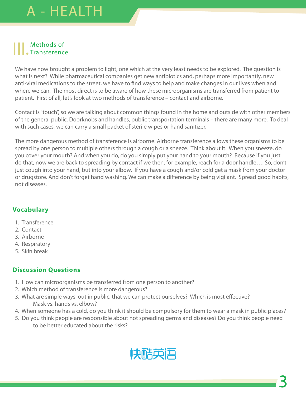# | | | Methods of<br>
Transference.

We have now brought a problem to light, one which at the very least needs to be explored. The question is what is next? While pharmaceutical companies get new antibiotics and, perhaps more importantly, new anti-viral medications to the street, we have to find ways to help and make changes in our lives when and where we can. The most direct is to be aware of how these microorganisms are transferred from patient to patient. First of all, let's look at two methods of transference – contact and airborne.

Contact is "touch", so we are talking about common things found in the home and outside with other members of the general public. Doorknobs and handles, public transportation terminals – there are many more. To deal with such cases, we can carry a small packet of sterile wipes or hand sanitizer.

The more dangerous method of transference is airborne. Airborne transference allows these organisms to be spread by one person to multiple others through a cough or a sneeze. Think about it. When you sneeze, do you cover your mouth? And when you do, do you simply put your hand to your mouth? Because if you just do that, now we are back to spreading by contact if we then, for example, reach for a door handle…. So, don't just cough into your hand, but into your elbow. If you have a cough and/or cold get a mask from your doctor or drugstore. And don't forget hand washing. We can make a difference by being vigilant. Spread good habits, not diseases.

#### **Vocabulary**

- 1. Transference
- 2. Contact
- 3. Airborne
- 4. Respiratory
- 5. Skin break

- 1. How can microorganisms be transferred from one person to another?
- 2. Which method of transference is more dangerous?
- 3. What are simple ways, out in public, that we can protect ourselves? Which is most effective? Mask vs. hands vs. elbow?
- 4. When someone has a cold, do you think it should be compulsory for them to wear a mask in public places?
- 5. Do you think people are responsible about not spreading germs and diseases? Do you think people need to be better educated about the risks?

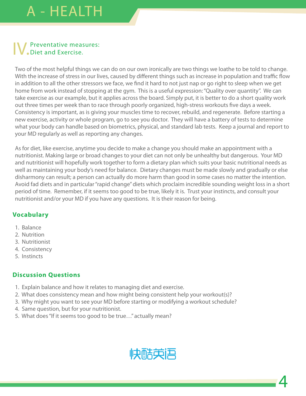# **IV.** Preventative measures:<br>
Diet and Exercise.

Two of the most helpful things we can do on our own ironically are two things we loathe to be told to change. With the increase of stress in our lives, caused by different things such as increase in population and traffic flow in addition to all the other stressors we face, we find it hard to not just nap or go right to sleep when we get home from work instead of stopping at the gym. This is a useful expression: "Quality over quantity". We can take exercise as our example, but it applies across the board. Simply put, it is better to do a short quality work out three times per week than to race through poorly organized, high-stress workouts five days a week. Consistency is important, as is giving your muscles time to recover, rebuild, and regenerate. Before starting a new exercise, activity or whole program, go to see you doctor. They will have a battery of tests to determine what your body can handle based on biometrics, physical, and standard lab tests. Keep a journal and report to your MD regularly as well as reporting any changes.

As for diet, like exercise, anytime you decide to make a change you should make an appointment with a nutritionist. Making large or broad changes to your diet can not only be unhealthy but dangerous. Your MD and nutritionist will hopefully work together to form a dietary plan which suits your basic nutritional needs as well as maintaining your body's need for balance. Dietary changes must be made slowly and gradually or else disharmony can result; a person can actually do more harm than good in some cases no matter the intention. Avoid fad diets and in particular "rapid change" diets which proclaim incredible sounding weight loss in a short period of time. Remember, if it seems too good to be true, likely it is. Trust your instincts, and consult your nutritionist and/or your MD if you have any questions. It is their reason for being.

#### **Vocabulary**

- 1. Balance
- 2. Nutrition
- 3. Nutritionist
- 4. Consistency
- 5. Instincts

- 1. Explain balance and how it relates to managing diet and exercise.
- 2. What does consistency mean and how might being consistent help your workout(s)?
- 3. Why might you want to see your MD before starting or modifying a workout schedule?
- 4. Same question, but for your nutritionist.
- 5. What does "If it seems too good to be true…" actually mean?